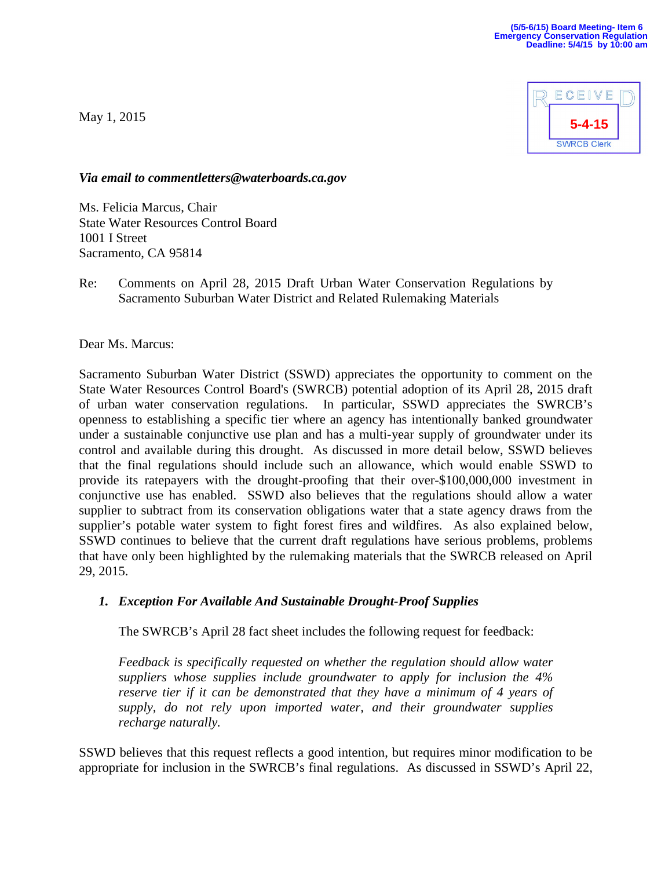May 1, 2015



*Via email to commentletters@waterboards.ca.gov* 

Ms. Felicia Marcus, Chair State Water Resources Control Board 1001 I Street Sacramento, CA 95814

Re: Comments on April 28, 2015 Draft Urban Water Conservation Regulations by Sacramento Suburban Water District and Related Rulemaking Materials

Dear Ms. Marcus:

Sacramento Suburban Water District (SSWD) appreciates the opportunity to comment on the State Water Resources Control Board's (SWRCB) potential adoption of its April 28, 2015 draft of urban water conservation regulations. In particular, SSWD appreciates the SWRCB's openness to establishing a specific tier where an agency has intentionally banked groundwater under a sustainable conjunctive use plan and has a multi-year supply of groundwater under its control and available during this drought. As discussed in more detail below, SSWD believes that the final regulations should include such an allowance, which would enable SSWD to provide its ratepayers with the drought-proofing that their over-\$100,000,000 investment in conjunctive use has enabled. SSWD also believes that the regulations should allow a water supplier to subtract from its conservation obligations water that a state agency draws from the supplier's potable water system to fight forest fires and wildfires. As also explained below, SSWD continues to believe that the current draft regulations have serious problems, problems that have only been highlighted by the rulemaking materials that the SWRCB released on April 29, 2015.

#### *1. Exception For Available And Sustainable Drought-Proof Supplies*

The SWRCB's April 28 fact sheet includes the following request for feedback:

*Feedback is specifically requested on whether the regulation should allow water suppliers whose supplies include groundwater to apply for inclusion the 4% reserve tier if it can be demonstrated that they have a minimum of 4 years of supply, do not rely upon imported water, and their groundwater supplies recharge naturally.*

SSWD believes that this request reflects a good intention, but requires minor modification to be appropriate for inclusion in the SWRCB's final regulations. As discussed in SSWD's April 22,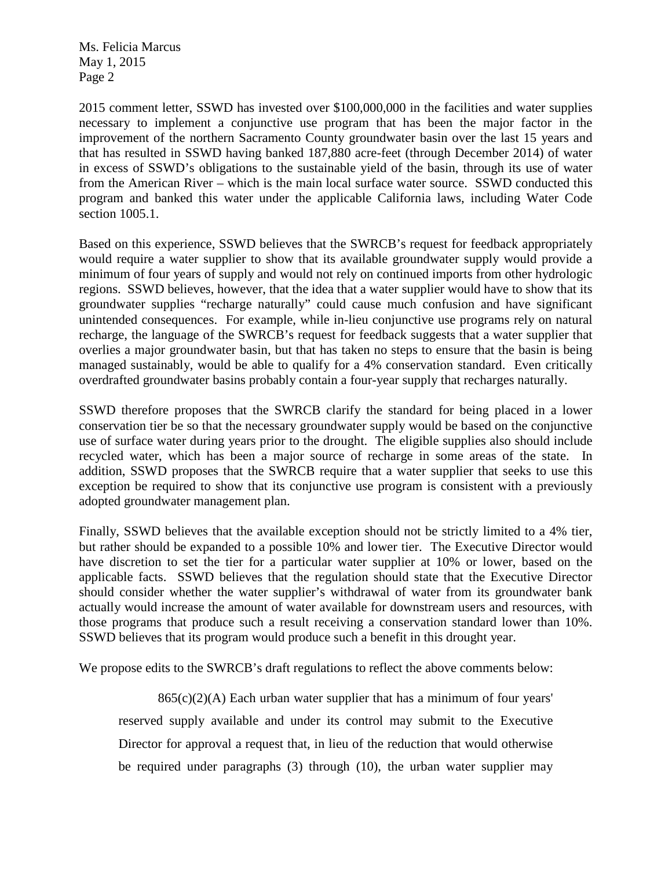Ms. Felicia Marcus May 1, 2015 Page 2

2015 comment letter, SSWD has invested over \$100,000,000 in the facilities and water supplies necessary to implement a conjunctive use program that has been the major factor in the improvement of the northern Sacramento County groundwater basin over the last 15 years and that has resulted in SSWD having banked 187,880 acre-feet (through December 2014) of water in excess of SSWD's obligations to the sustainable yield of the basin, through its use of water from the American River – which is the main local surface water source. SSWD conducted this program and banked this water under the applicable California laws, including Water Code section 1005.1.

Based on this experience, SSWD believes that the SWRCB's request for feedback appropriately would require a water supplier to show that its available groundwater supply would provide a minimum of four years of supply and would not rely on continued imports from other hydrologic regions. SSWD believes, however, that the idea that a water supplier would have to show that its groundwater supplies "recharge naturally" could cause much confusion and have significant unintended consequences. For example, while in-lieu conjunctive use programs rely on natural recharge, the language of the SWRCB's request for feedback suggests that a water supplier that overlies a major groundwater basin, but that has taken no steps to ensure that the basin is being managed sustainably, would be able to qualify for a 4% conservation standard. Even critically overdrafted groundwater basins probably contain a four-year supply that recharges naturally.

SSWD therefore proposes that the SWRCB clarify the standard for being placed in a lower conservation tier be so that the necessary groundwater supply would be based on the conjunctive use of surface water during years prior to the drought. The eligible supplies also should include recycled water, which has been a major source of recharge in some areas of the state. In addition, SSWD proposes that the SWRCB require that a water supplier that seeks to use this exception be required to show that its conjunctive use program is consistent with a previously adopted groundwater management plan.

Finally, SSWD believes that the available exception should not be strictly limited to a 4% tier, but rather should be expanded to a possible 10% and lower tier. The Executive Director would have discretion to set the tier for a particular water supplier at 10% or lower, based on the applicable facts. SSWD believes that the regulation should state that the Executive Director should consider whether the water supplier's withdrawal of water from its groundwater bank actually would increase the amount of water available for downstream users and resources, with those programs that produce such a result receiving a conservation standard lower than 10%. SSWD believes that its program would produce such a benefit in this drought year.

We propose edits to the SWRCB's draft regulations to reflect the above comments below:

 $865(c)(2)(A)$  Each urban water supplier that has a minimum of four years' reserved supply available and under its control may submit to the Executive Director for approval a request that, in lieu of the reduction that would otherwise be required under paragraphs (3) through (10), the urban water supplier may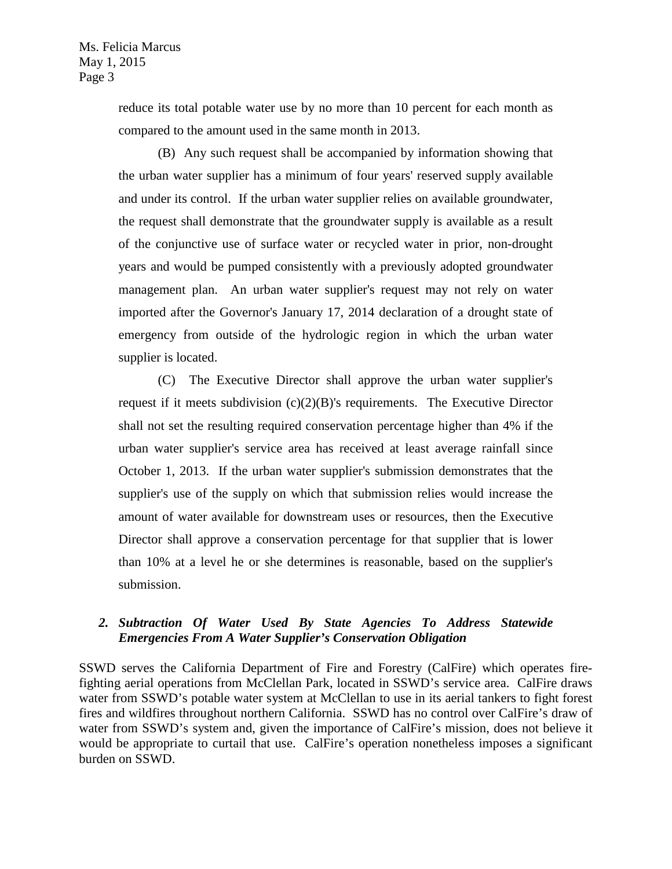reduce its total potable water use by no more than 10 percent for each month as compared to the amount used in the same month in 2013.

(B) Any such request shall be accompanied by information showing that the urban water supplier has a minimum of four years' reserved supply available and under its control. If the urban water supplier relies on available groundwater, the request shall demonstrate that the groundwater supply is available as a result of the conjunctive use of surface water or recycled water in prior, non-drought years and would be pumped consistently with a previously adopted groundwater management plan. An urban water supplier's request may not rely on water imported after the Governor's January 17, 2014 declaration of a drought state of emergency from outside of the hydrologic region in which the urban water supplier is located.

(C) The Executive Director shall approve the urban water supplier's request if it meets subdivision  $(c)(2)(B)$ 's requirements. The Executive Director shall not set the resulting required conservation percentage higher than 4% if the urban water supplier's service area has received at least average rainfall since October 1, 2013. If the urban water supplier's submission demonstrates that the supplier's use of the supply on which that submission relies would increase the amount of water available for downstream uses or resources, then the Executive Director shall approve a conservation percentage for that supplier that is lower than 10% at a level he or she determines is reasonable, based on the supplier's submission.

# *2. Subtraction Of Water Used By State Agencies To Address Statewide Emergencies From A Water Supplier's Conservation Obligation*

SSWD serves the California Department of Fire and Forestry (CalFire) which operates firefighting aerial operations from McClellan Park, located in SSWD's service area. CalFire draws water from SSWD's potable water system at McClellan to use in its aerial tankers to fight forest fires and wildfires throughout northern California. SSWD has no control over CalFire's draw of water from SSWD's system and, given the importance of CalFire's mission, does not believe it would be appropriate to curtail that use. CalFire's operation nonetheless imposes a significant burden on SSWD.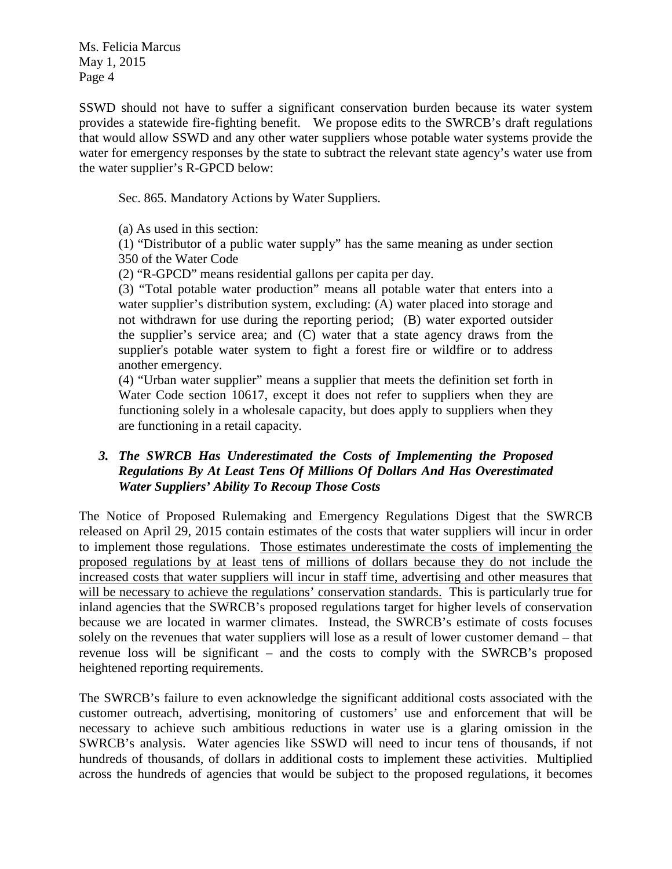Ms. Felicia Marcus May 1, 2015 Page 4

SSWD should not have to suffer a significant conservation burden because its water system provides a statewide fire-fighting benefit. We propose edits to the SWRCB's draft regulations that would allow SSWD and any other water suppliers whose potable water systems provide the water for emergency responses by the state to subtract the relevant state agency's water use from the water supplier's R-GPCD below:

Sec. 865. Mandatory Actions by Water Suppliers.

(a) As used in this section:

(1) "Distributor of a public water supply" has the same meaning as under section 350 of the Water Code

(2) "R-GPCD" means residential gallons per capita per day.

(3) "Total potable water production" means all potable water that enters into a water supplier's distribution system, excluding: (A) water placed into storage and not withdrawn for use during the reporting period; (B) water exported outsider the supplier's service area; and (C) water that a state agency draws from the supplier's potable water system to fight a forest fire or wildfire or to address another emergency.

(4) "Urban water supplier" means a supplier that meets the definition set forth in Water Code section 10617, except it does not refer to suppliers when they are functioning solely in a wholesale capacity, but does apply to suppliers when they are functioning in a retail capacity.

### *3. The SWRCB Has Underestimated the Costs of Implementing the Proposed Regulations By At Least Tens Of Millions Of Dollars And Has Overestimated Water Suppliers' Ability To Recoup Those Costs*

The Notice of Proposed Rulemaking and Emergency Regulations Digest that the SWRCB released on April 29, 2015 contain estimates of the costs that water suppliers will incur in order to implement those regulations. Those estimates underestimate the costs of implementing the proposed regulations by at least tens of millions of dollars because they do not include the increased costs that water suppliers will incur in staff time, advertising and other measures that will be necessary to achieve the regulations' conservation standards. This is particularly true for inland agencies that the SWRCB's proposed regulations target for higher levels of conservation because we are located in warmer climates. Instead, the SWRCB's estimate of costs focuses solely on the revenues that water suppliers will lose as a result of lower customer demand – that revenue loss will be significant – and the costs to comply with the SWRCB's proposed heightened reporting requirements.

The SWRCB's failure to even acknowledge the significant additional costs associated with the customer outreach, advertising, monitoring of customers' use and enforcement that will be necessary to achieve such ambitious reductions in water use is a glaring omission in the SWRCB's analysis. Water agencies like SSWD will need to incur tens of thousands, if not hundreds of thousands, of dollars in additional costs to implement these activities. Multiplied across the hundreds of agencies that would be subject to the proposed regulations, it becomes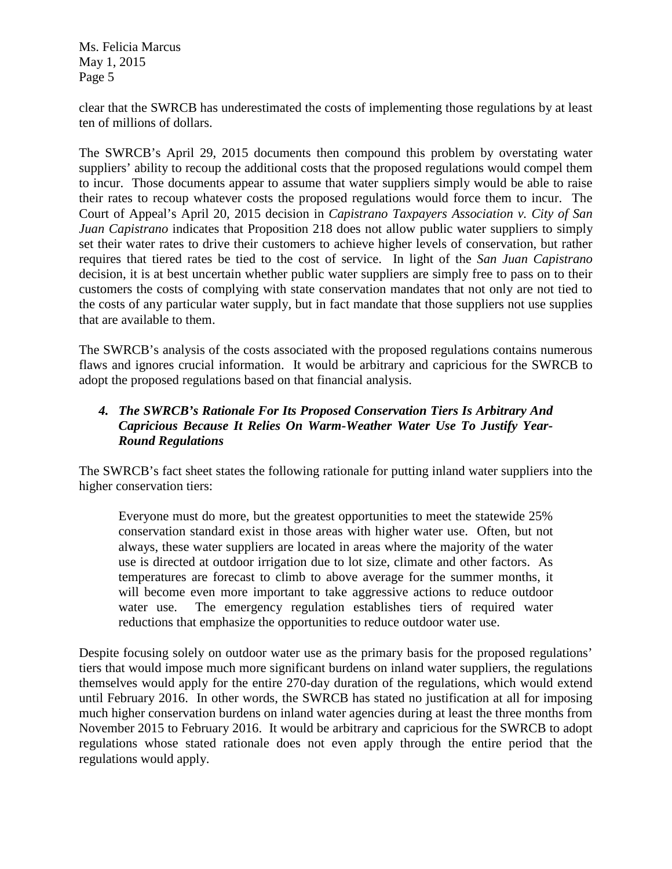Ms. Felicia Marcus May 1, 2015 Page 5

clear that the SWRCB has underestimated the costs of implementing those regulations by at least ten of millions of dollars.

The SWRCB's April 29, 2015 documents then compound this problem by overstating water suppliers' ability to recoup the additional costs that the proposed regulations would compel them to incur. Those documents appear to assume that water suppliers simply would be able to raise their rates to recoup whatever costs the proposed regulations would force them to incur. The Court of Appeal's April 20, 2015 decision in *Capistrano Taxpayers Association v. City of San Juan Capistrano* indicates that Proposition 218 does not allow public water suppliers to simply set their water rates to drive their customers to achieve higher levels of conservation, but rather requires that tiered rates be tied to the cost of service. In light of the *San Juan Capistrano* decision, it is at best uncertain whether public water suppliers are simply free to pass on to their customers the costs of complying with state conservation mandates that not only are not tied to the costs of any particular water supply, but in fact mandate that those suppliers not use supplies that are available to them.

The SWRCB's analysis of the costs associated with the proposed regulations contains numerous flaws and ignores crucial information. It would be arbitrary and capricious for the SWRCB to adopt the proposed regulations based on that financial analysis.

# *4. The SWRCB's Rationale For Its Proposed Conservation Tiers Is Arbitrary And Capricious Because It Relies On Warm-Weather Water Use To Justify Year-Round Regulations*

The SWRCB's fact sheet states the following rationale for putting inland water suppliers into the higher conservation tiers:

Everyone must do more, but the greatest opportunities to meet the statewide 25% conservation standard exist in those areas with higher water use. Often, but not always, these water suppliers are located in areas where the majority of the water use is directed at outdoor irrigation due to lot size, climate and other factors. As temperatures are forecast to climb to above average for the summer months, it will become even more important to take aggressive actions to reduce outdoor water use. The emergency regulation establishes tiers of required water reductions that emphasize the opportunities to reduce outdoor water use.

Despite focusing solely on outdoor water use as the primary basis for the proposed regulations' tiers that would impose much more significant burdens on inland water suppliers, the regulations themselves would apply for the entire 270-day duration of the regulations, which would extend until February 2016. In other words, the SWRCB has stated no justification at all for imposing much higher conservation burdens on inland water agencies during at least the three months from November 2015 to February 2016. It would be arbitrary and capricious for the SWRCB to adopt regulations whose stated rationale does not even apply through the entire period that the regulations would apply.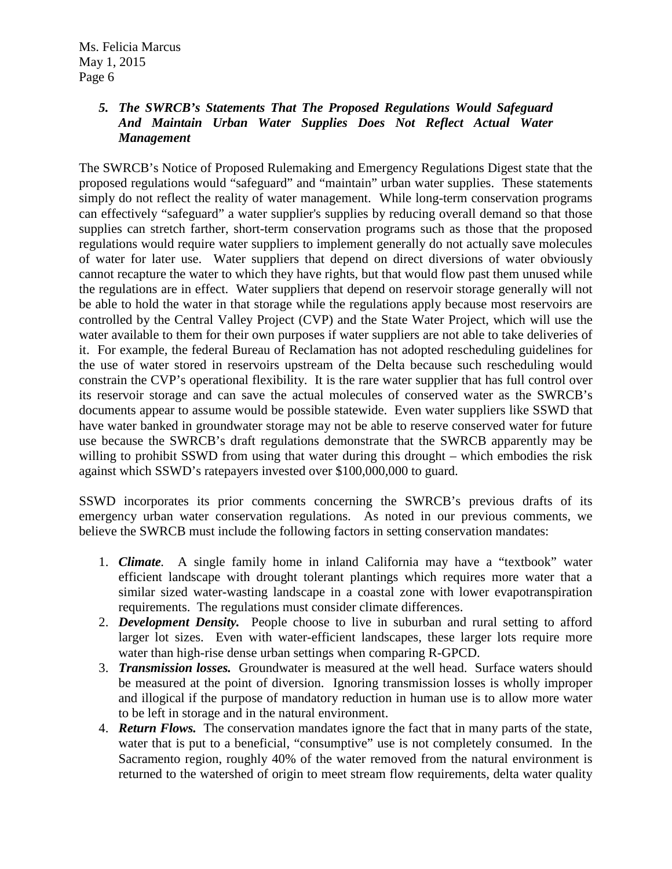# *5. The SWRCB's Statements That The Proposed Regulations Would Safeguard And Maintain Urban Water Supplies Does Not Reflect Actual Water Management*

The SWRCB's Notice of Proposed Rulemaking and Emergency Regulations Digest state that the proposed regulations would "safeguard" and "maintain" urban water supplies. These statements simply do not reflect the reality of water management. While long-term conservation programs can effectively "safeguard" a water supplier's supplies by reducing overall demand so that those supplies can stretch farther, short-term conservation programs such as those that the proposed regulations would require water suppliers to implement generally do not actually save molecules of water for later use. Water suppliers that depend on direct diversions of water obviously cannot recapture the water to which they have rights, but that would flow past them unused while the regulations are in effect. Water suppliers that depend on reservoir storage generally will not be able to hold the water in that storage while the regulations apply because most reservoirs are controlled by the Central Valley Project (CVP) and the State Water Project, which will use the water available to them for their own purposes if water suppliers are not able to take deliveries of it. For example, the federal Bureau of Reclamation has not adopted rescheduling guidelines for the use of water stored in reservoirs upstream of the Delta because such rescheduling would constrain the CVP's operational flexibility. It is the rare water supplier that has full control over its reservoir storage and can save the actual molecules of conserved water as the SWRCB's documents appear to assume would be possible statewide. Even water suppliers like SSWD that have water banked in groundwater storage may not be able to reserve conserved water for future use because the SWRCB's draft regulations demonstrate that the SWRCB apparently may be willing to prohibit SSWD from using that water during this drought – which embodies the risk against which SSWD's ratepayers invested over \$100,000,000 to guard.

SSWD incorporates its prior comments concerning the SWRCB's previous drafts of its emergency urban water conservation regulations. As noted in our previous comments, we believe the SWRCB must include the following factors in setting conservation mandates:

- 1. *Climate.* A single family home in inland California may have a "textbook" water efficient landscape with drought tolerant plantings which requires more water that a similar sized water-wasting landscape in a coastal zone with lower evapotranspiration requirements. The regulations must consider climate differences.
- 2. *Development Density.* People choose to live in suburban and rural setting to afford larger lot sizes. Even with water-efficient landscapes, these larger lots require more water than high-rise dense urban settings when comparing R-GPCD.
- 3. *Transmission losses.* Groundwater is measured at the well head. Surface waters should be measured at the point of diversion. Ignoring transmission losses is wholly improper and illogical if the purpose of mandatory reduction in human use is to allow more water to be left in storage and in the natural environment.
- 4. *Return Flows.* The conservation mandates ignore the fact that in many parts of the state, water that is put to a beneficial, "consumptive" use is not completely consumed. In the Sacramento region, roughly 40% of the water removed from the natural environment is returned to the watershed of origin to meet stream flow requirements, delta water quality